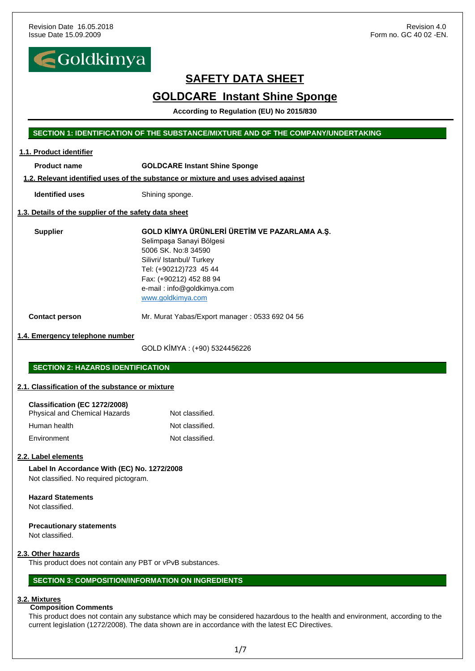

# **GOLDCARE Instant Shine Sponge**

**According to Regulation (EU) No 2015/830** 

#### **SECTION 1: IDENTIFICATION OF THE SUBSTANCE/MIXTURE AND OF THE COMPANY/UNDERTAKING**

#### **1.1. Product identifier**

**Product name GOLDCARE Instant Shine Sponge** 

#### **1.2. Relevant identified uses of the substance or mixture and uses advised against**

**Identified uses** Shining sponge.

#### **1.3. Details of the supplier of the safety data sheet**

**Supplier GOLD KİMYA ÜRÜNLERİ ÜRETİM VE PAZARLAMA A.Ş.** Selimpaşa Sanayi Bölgesi 5006 SK. No:8 34590 Silivri/ Istanbul/ Turkey Tel: (+90212)723 45 44 Fax: (+90212) 452 88 94 e-mail : info@goldkimya.com [www.goldkimya.com](http://www.goldkimya.com/)

**Contact person** Mr. Murat Yabas/Export manager : 0533 692 04 56

#### **1.4. Emergency telephone number**

GOLD KİMYA : (+90) 5324456226

#### **SECTION 2: HAZARDS IDENTIFICATION**

#### **2.1. Classification of the substance or mixture**

#### **Classification (EC 1272/2008)**

| Physical and Chemical Hazards | Not classified. |
|-------------------------------|-----------------|
| Human health                  | Not classified. |
| Environment                   | Not classified. |

#### **2.2. Label elements**

**Label In Accordance With (EC) No. 1272/2008** Not classified. No required pictogram.

#### **Hazard Statements** Not classified.

#### **Precautionary statements** Not classified.

#### **2.3. Other hazards**

This product does not contain any PBT or vPvB substances.

#### **SECTION 3: COMPOSITION/INFORMATION ON INGREDIENTS**

#### **3.2. Mixtures**

#### **Composition Comments**

This product does not contain any substance which may be considered hazardous to the health and environment, according to the current legislation (1272/2008). The data shown are in accordance with the latest EC Directives.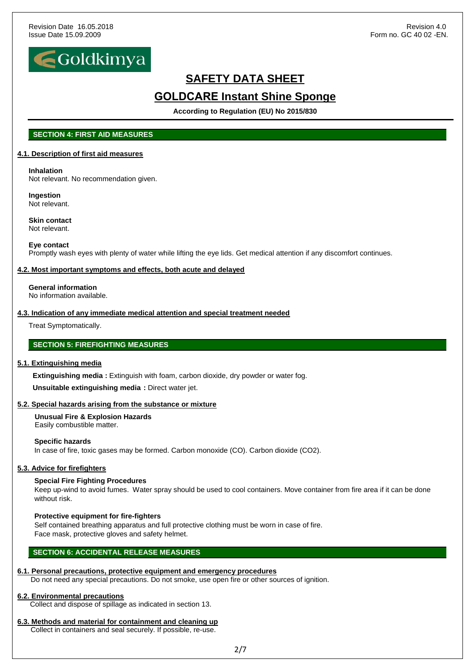

# **GOLDCARE Instant Shine Sponge**

**According to Regulation (EU) No 2015/830** 

### **SECTION 4: FIRST AID MEASURES**

#### **4.1. Description of first aid measures**

### **Inhalation**

Not relevant. No recommendation given.

#### **Ingestion** Not relevant.

**Skin contact** Not relevant.

#### **Eye contact**

Promptly wash eyes with plenty of water while lifting the eye lids. Get medical attention if any discomfort continues.

#### **4.2. Most important symptoms and effects, both acute and delayed**

**General information** No information available.

#### **4.3. Indication of any immediate medical attention and special treatment needed**

Treat Symptomatically.

### **SECTION 5: FIREFIGHTING MEASURES**

#### **5.1. Extinguishing media**

**Extinguishing media** : Extinguish with foam, carbon dioxide, dry powder or water fog.  **Unsuitable extinguishing media :** Direct water jet.

#### **5.2. Special hazards arising from the substance or mixture**

 **Unusual Fire & Explosion Hazards** Easily combustible matter.

#### **Specific hazards**

In case of fire, toxic gases may be formed. Carbon monoxide (CO). Carbon dioxide (CO2).

#### **5.3. Advice for firefighters**

#### **Special Fire Fighting Procedures**

Keep up-wind to avoid fumes. Water spray should be used to cool containers. Move container from fire area if it can be done without risk.

#### **Protective equipment for fire-fighters**

Self contained breathing apparatus and full protective clothing must be worn in case of fire. Face mask, protective gloves and safety helmet.

#### **SECTION 6: ACCIDENTAL RELEASE MEASURES**

#### **6.1. Personal precautions, protective equipment and emergency procedures**

Do not need any special precautions. Do not smoke, use open fire or other sources of ignition.

#### **6.2. Environmental precautions**

Collect and dispose of spillage as indicated in section 13.

### **6.3. Methods and material for containment and cleaning up**

Collect in containers and seal securely. If possible, re-use.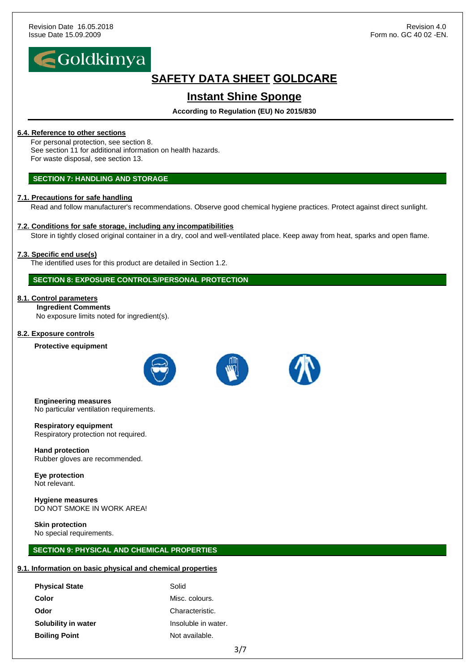

# **SAFETY DATA SHEET GOLDCARE**

# **Instant Shine Sponge**

### **According to Regulation (EU) No 2015/830**

#### **6.4. Reference to other sections**

For personal protection, see section 8. See section 11 for additional information on health hazards. For waste disposal, see section 13.

#### **SECTION 7: HANDLING AND STORAGE**

#### **7.1. Precautions for safe handling**

Read and follow manufacturer's recommendations. Observe good chemical hygiene practices. Protect against direct sunlight.

#### **7.2. Conditions for safe storage, including any incompatibilities**

Store in tightly closed original container in a dry, cool and well-ventilated place. Keep away from heat, sparks and open flame.

#### **7.3. Specific end use(s)**

The identified uses for this product are detailed in Section 1.2.

### **SECTION 8: EXPOSURE CONTROLS/PERSONAL PROTECTION**

#### **8.1. Control parameters**

 **Ingredient Comments** No exposure limits noted for ingredient(s).

#### **8.2. Exposure controls**

**Protective equipment**





#### **Engineering measures**

No particular ventilation requirements.

**Respiratory equipment** Respiratory protection not required.

**Hand protection** Rubber gloves are recommended.

**Eye protection** Not relevant.

**Hygiene measures** DO NOT SMOKE IN WORK AREA!

### **Skin protection**

No special requirements.

#### **SECTION 9: PHYSICAL AND CHEMICAL PROPERTIES**

### **9.1. Information on basic physical and chemical properties**

| <b>Physical State</b> | Solid               |
|-----------------------|---------------------|
| Color                 | Misc. colours.      |
| Odor                  | Characteristic.     |
| Solubility in water   | Insoluble in water. |
| <b>Boiling Point</b>  | Not available.      |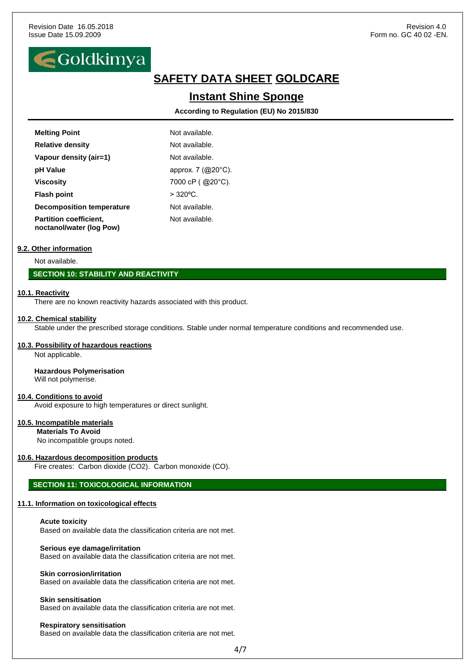

# **SAFETY DATA SHEET GOLDCARE**

## **Instant Shine Sponge**

**According to Regulation (EU) No 2015/830** 

| <b>Melting Point</b>                                      | Not available.     |
|-----------------------------------------------------------|--------------------|
| <b>Relative density</b>                                   | Not available.     |
| Vapour density (air=1)                                    | Not available.     |
| pH Value                                                  | approx. 7 (@20°C). |
| <b>Viscosity</b>                                          | 7000 cP (@20°C).   |
| <b>Flash point</b>                                        | $> 320^{\circ}$ C. |
| <b>Decomposition temperature</b>                          | Not available.     |
| <b>Partition coefficient,</b><br>noctanol/water (log Pow) | Not available.     |

#### **9.2. Other information**

Not available.

#### **SECTION 10: STABILITY AND REACTIVITY**

#### **10.1. Reactivity**

There are no known reactivity hazards associated with this product.

#### **10.2. Chemical stability**

Stable under the prescribed storage conditions. Stable under normal temperature conditions and recommended use.

#### **10.3. Possibility of hazardous reactions**

Not applicable.

#### **Hazardous Polymerisation**

Will not polymerise.

#### **10.4. Conditions to avoid**

Avoid exposure to high temperatures or direct sunlight.

#### **10.5. Incompatible materials**

 **Materials To Avoid**

No incompatible groups noted.

#### **10.6. Hazardous decomposition products**

Fire creates: Carbon dioxide (CO2). Carbon monoxide (CO).

#### **SECTION 11: TOXICOLOGICAL INFORMATION**

#### **11.1. Information on toxicological effects**

**Acute toxicity**

Based on available data the classification criteria are not met.

#### **Serious eye damage/irritation**

Based on available data the classification criteria are not met.

#### **Skin corrosion/irritation**

Based on available data the classification criteria are not met.

#### **Skin sensitisation**

Based on available data the classification criteria are not met.

#### **Respiratory sensitisation**

Based on available data the classification criteria are not met.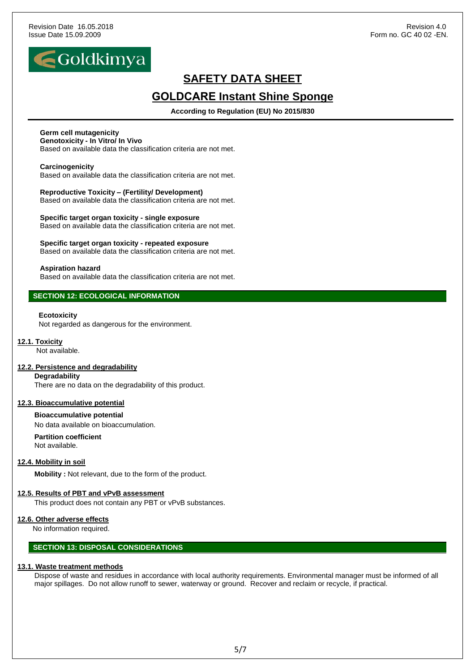

# **GOLDCARE Instant Shine Sponge**

**According to Regulation (EU) No 2015/830** 

### **Germ cell mutagenicity**

#### **Genotoxicity - In Vitro/ In Vivo**

Based on available data the classification criteria are not met.

#### **Carcinogenicity**

Based on available data the classification criteria are not met.

#### **Reproductive Toxicity – (Fertility/ Development)** Based on available data the classification criteria are not met.

**Specific target organ toxicity - single exposure** Based on available data the classification criteria are not met.

#### **Specific target organ toxicity - repeated exposure**

Based on available data the classification criteria are not met.

#### **Aspiration hazard**

Based on available data the classification criteria are not met.

### **SECTION 12: ECOLOGICAL INFORMATION**

#### **Ecotoxicity**

Not regarded as dangerous for the environment.

#### **12.1. Toxicity**

Not available.

#### **12.2. Persistence and degradability**

#### **Degradability**

There are no data on the degradability of this product.

#### **12.3. Bioaccumulative potential**

**Bioaccumulative potential**

No data available on bioaccumulation.

#### **Partition coefficient** Not available.

### **12.4. Mobility in soil**

**Mobility :** Not relevant, due to the form of the product.

#### **12.5. Results of PBT and vPvB assessment**

This product does not contain any PBT or vPvB substances.

#### **12.6. Other adverse effects**

No information required.

### **SECTION 13: DISPOSAL CONSIDERATIONS**

#### **13.1. Waste treatment methods**

Dispose of waste and residues in accordance with local authority requirements. Environmental manager must be informed of all major spillages. Do not allow runoff to sewer, waterway or ground. Recover and reclaim or recycle, if practical.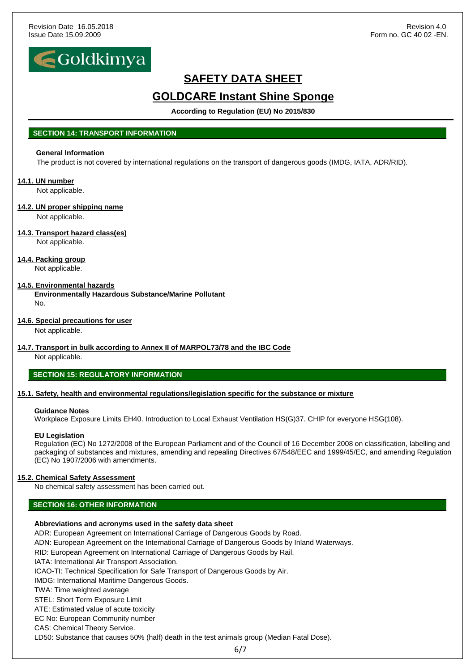

# **GOLDCARE Instant Shine Sponge**

**According to Regulation (EU) No 2015/830** 

#### **SECTION 14: TRANSPORT INFORMATION**

### **General Information**

The product is not covered by international regulations on the transport of dangerous goods (IMDG, IATA, ADR/RID).

#### **14.1. UN number**

Not applicable.

#### **14.2. UN proper shipping name**

Not applicable.

#### **14.3. Transport hazard class(es)** Not applicable.

### **14.4. Packing group**

Not applicable.

#### **14.5. Environmental hazards**

**Environmentally Hazardous Substance/Marine Pollutant** No.

#### **14.6. Special precautions for user**

Not applicable.

#### **14.7. Transport in bulk according to Annex II of MARPOL73/78 and the IBC Code**

Not applicable.

### **SECTION 15: REGULATORY INFORMATION**

#### **15.1. Safety, health and environmental regulations/legislation specific for the substance or mixture**

#### **Guidance Notes**

Workplace Exposure Limits EH40. Introduction to Local Exhaust Ventilation HS(G)37. CHIP for everyone HSG(108).

#### **EU Legislation**

Regulation (EC) No 1272/2008 of the European Parliament and of the Council of 16 December 2008 on classification, labelling and packaging of substances and mixtures, amending and repealing Directives 67/548/EEC and 1999/45/EC, and amending Regulation (EC) No 1907/2006 with amendments.

#### **15.2. Chemical Safety Assessment**

No chemical safety assessment has been carried out.

### **SECTION 16: OTHER INFORMATION**

#### **Abbreviations and acronyms used in the safety data sheet**

ADR: European Agreement on International Carriage of Dangerous Goods by Road.

ADN: European Agreement on the International Carriage of Dangerous Goods by Inland Waterways.

RID: European Agreement on International Carriage of Dangerous Goods by Rail.

IATA: International Air Transport Association.

ICAO-TI: Technical Specification for Safe Transport of Dangerous Goods by Air.

IMDG: International Maritime Dangerous Goods.

TWA: Time weighted average

STEL: Short Term Exposure Limit

ATE: Estimated value of acute toxicity

EC No: European Community number

CAS: Chemical Theory Service.

LD50: Substance that causes 50% (half) death in the test animals group (Median Fatal Dose).